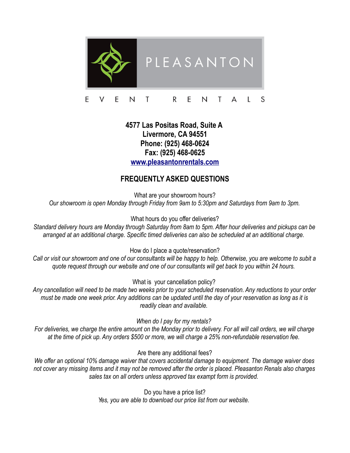

## E E N T. R E T S N A L

## **4577 Las Positas Road, Suite A Livermore, CA 94551 Phone: (925) 468-0624 Fax: (925) 468-0625 [www.pleasantonrentals.com](http://www.pleasantonrentals.com/)**

## **FREQUENTLY ASKED QUESTIONS**

What are your showroom hours? *Our showroom is open Monday through Friday from 9am to 5:30pm and Saturdays from 9am to 3pm.*

What hours do you offer deliveries?

*Standard delivery hours are Monday through Saturday from 8am to 5pm. After hour deliveries and pickups can be arranged at an additional charge. Specific timed deliveries can also be scheduled at an additional charge.* 

How do I place a quote/reservation?

*Call or visit our showroom and one of our consultants will be happy to help. Otherwise, you are welcome to subit a quote request through our website and one of our consultants will get back to you within 24 hours.* 

What is your cancellation policy?

*Any cancellation will need to be made two weeks prior to your scheduled reservation. Any reductions to your order must be made one week prior. Any additions can be updated until the day of your reservation as long as it is readily clean and available.* 

*When do I pay for my rentals?* 

*For deliveries, we charge the entire amount on the Monday prior to delivery. For all will call orders, we will charge at the time of pick up. Any orders \$500 or more, we will charge a 25% non-refundable reservation fee.* 

Are there any additional fees?

*We offer an optional 10% damage waiver that covers accidental damage to equipment. The damage waiver does not cover any missing items and it may not be removed after the order is placed. Pleasanton Renals also charges sales tax on all orders unless approved tax exampt form is provided.* 

> Do you have a price list? *Yes, you are able to download our price list from our website.*